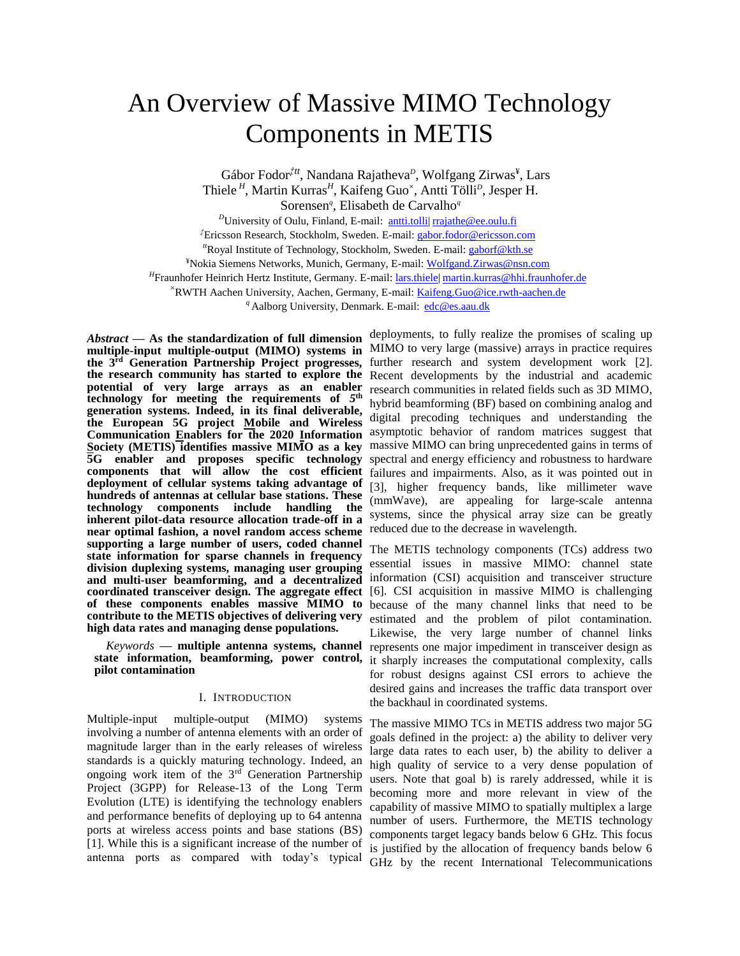# An Overview of Massive MIMO Technology Components in METIS

Gábor Fodor<sup>†tt</sup>, Nandana Rajatheva<sup>*D*</sup>, Wolfgang Zirwas<sup>¥</sup>, Lars Thiele<sup>H</sup>, Martin Kurras<sup>H</sup>, Kaifeng Guo<sup>x</sup>, Antti Tölli<sup>D</sup>, Jesper H. Sorensen*<sup>q</sup>* , Elisabeth de Carvalho*<sup>q</sup>*

<sup>*D*</sup>University of Oulu, Finland, E-mail: antti.tolli| [rrajathe@ee.oulu.fi](mailto:rrajathe@ee.oulu.fi) *‡*Ericsson Research, Stockholm, Sweden. E-mail[: gabor.fodor@ericsson.com](mailto:gabor.fodor@ericsson.com) *tt*Royal Institute of Technology, Stockholm, Sweden. E-mail: [gaborf@kth.se](mailto:gaborf@kth.se) ¥Nokia Siemens Networks, Munich, Germany, E-mail: Wolfgand.Zirwas@nsn.com <sup>H</sup>Fraunhofer Heinrich Hertz Institute, Germany. E-mail: <u>lars.thiele| [martin.kurras@hhi.fraunhofer.de](mailto:martin.kurras@hhi.fraunhofer.de)</u> <sup>×</sup>RWTH Aachen University, Aachen, Germany, E-mail: Kaifeng.Guo@ice.rwth-aachen.de *<sup>q</sup>* Aalborg University, Denmark. E-mail: [edc@es.aau.dk](mailto:edc@es.aau.dk)

**potential of very large arrays as an enabler technology for meeting the requirements of** *5* **th generation systems. Indeed, in its final deliverable, the European 5G project Mobile and Wireless Communication Enablers for the 2020 Information Society (METIS) identifies massive MIMO as a key 5G enabler and proposes specific technology components that will allow the cost efficient deployment of cellular systems taking advantage of hundreds of antennas at cellular base stations. These technology components include handling the inherent pilot-data resource allocation trade-off in a near optimal fashion, a novel random access scheme**  reduced due to the decrease in wavelength. **supporting a large number of users, coded channel state information for sparse channels in frequency division duplexing systems, managing user grouping and multi-user beamforming, and a decentralized coordinated transceiver design. The aggregate effect of these components enables massive MIMO to contribute to the METIS objectives of delivering very high data rates and managing dense populations.**

*Keywords* **— multiple antenna systems, channel state information, beamforming, power control, pilot contamination**

#### I. INTRODUCTION

Multiple-input multiple-output (MIMO) systems involving a number of antenna elements with an order of magnitude larger than in the early releases of wireless standards is a quickly maturing technology. Indeed, an ongoing work item of the 3<sup>rd</sup> Generation Partnership Project (3GPP) for Release-13 of the Long Term Evolution (LTE) is identifying the technology enablers and performance benefits of deploying up to 64 antenna ports at wireless access points and base stations (BS) [1]. While this is a significant increase of the number of antenna ports as compared with today's typical

*Abstract* **— As the standardization of full dimension**  deployments, to fully realize the promises of scaling up **multiple-input multiple-output (MIMO) systems in**  MIMO to very large (massive) arrays in practice requires **the 3rd Generation Partnership Project progresses,**  further research and system development work [2]. **the research community has started to explore the**  Recent developments by the industrial and academic research communities in related fields such as 3D MIMO, hybrid beamforming (BF) based on combining analog and digital precoding techniques and understanding the asymptotic behavior of random matrices suggest that massive MIMO can bring unprecedented gains in terms of spectral and energy efficiency and robustness to hardware failures and impairments. Also, as it was pointed out in [3], higher frequency bands, like millimeter wave (mmWave), are appealing for large-scale antenna systems, since the physical array size can be greatly

> The METIS technology components (TCs) address two essential issues in massive MIMO: channel state information (CSI) acquisition and transceiver structure [6]. CSI acquisition in massive MIMO is challenging because of the many channel links that need to be estimated and the problem of pilot contamination. Likewise, the very large number of channel links represents one major impediment in transceiver design as it sharply increases the computational complexity, calls for robust designs against CSI errors to achieve the desired gains and increases the traffic data transport over the backhaul in coordinated systems.

> The massive MIMO TCs in METIS address two major 5G goals defined in the project: a) the ability to deliver very large data rates to each user, b) the ability to deliver a high quality of service to a very dense population of users. Note that goal b) is rarely addressed, while it is becoming more and more relevant in view of the capability of massive MIMO to spatially multiplex a large number of users. Furthermore, the METIS technology components target legacy bands below 6 GHz. This focus is justified by the allocation of frequency bands below 6 GHz by the recent International Telecommunications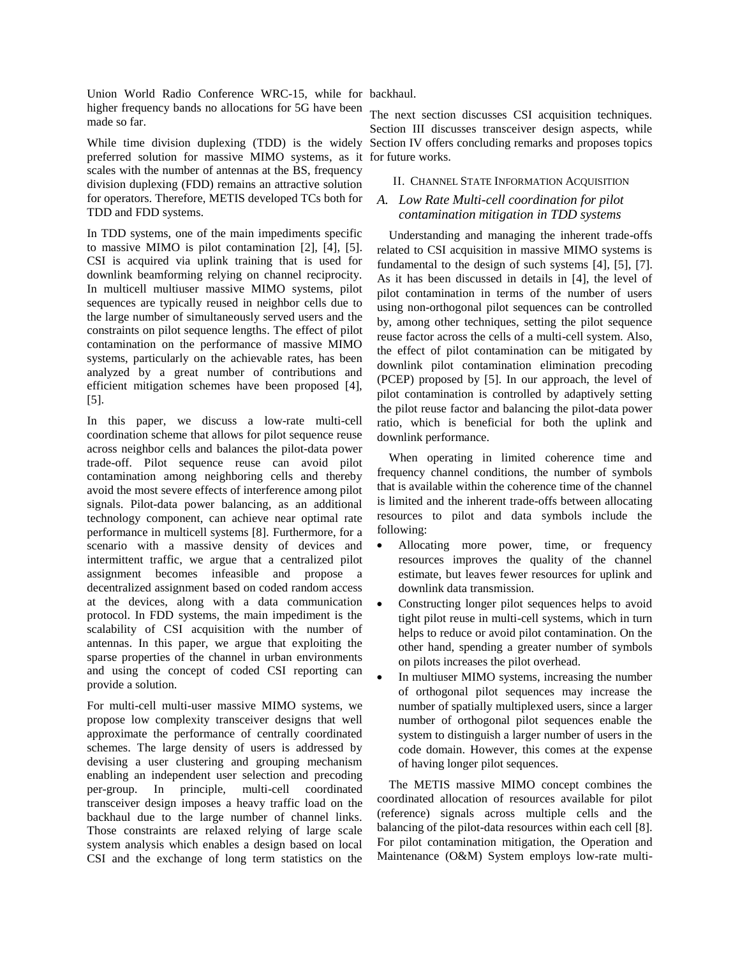Union World Radio Conference WRC-15, while for backhaul. higher frequency bands no allocations for 5G have been made so far.

preferred solution for massive MIMO systems, as it for future works. scales with the number of antennas at the BS, frequency division duplexing (FDD) remains an attractive solution for operators. Therefore, METIS developed TCs both for TDD and FDD systems.

In TDD systems, one of the main impediments specific to massive MIMO is pilot contamination [2], [4], [5]. CSI is acquired via uplink training that is used for downlink beamforming relying on channel reciprocity. In multicell multiuser massive MIMO systems, pilot sequences are typically reused in neighbor cells due to the large number of simultaneously served users and the constraints on pilot sequence lengths. The effect of pilot contamination on the performance of massive MIMO systems, particularly on the achievable rates, has been analyzed by a great number of contributions and efficient mitigation schemes have been proposed [4], [5].

In this paper, we discuss a low-rate multi-cell coordination scheme that allows for pilot sequence reuse across neighbor cells and balances the pilot-data power trade-off. Pilot sequence reuse can avoid pilot contamination among neighboring cells and thereby avoid the most severe effects of interference among pilot signals. Pilot-data power balancing, as an additional technology component, can achieve near optimal rate performance in multicell systems [8]. Furthermore, for a scenario with a massive density of devices and intermittent traffic, we argue that a centralized pilot assignment becomes infeasible and propose a decentralized assignment based on coded random access at the devices, along with a data communication protocol. In FDD systems, the main impediment is the scalability of CSI acquisition with the number of antennas. In this paper, we argue that exploiting the sparse properties of the channel in urban environments and using the concept of coded CSI reporting can provide a solution.

For multi-cell multi-user massive MIMO systems, we propose low complexity transceiver designs that well approximate the performance of centrally coordinated schemes. The large density of users is addressed by devising a user clustering and grouping mechanism enabling an independent user selection and precoding per-group. In principle, multi-cell coordinated transceiver design imposes a heavy traffic load on the backhaul due to the large number of channel links. Those constraints are relaxed relying of large scale system analysis which enables a design based on local CSI and the exchange of long term statistics on the

While time division duplexing (TDD) is the widely Section IV offers concluding remarks and proposes topics The next section discusses CSI acquisition techniques. Section III discusses transceiver design aspects, while

### II. CHANNEL STATE INFORMATION ACQUISITION

# *A. Low Rate Multi-cell coordination for pilot contamination mitigation in TDD systems*

Understanding and managing the inherent trade-offs related to CSI acquisition in massive MIMO systems is fundamental to the design of such systems [4], [5], [7]. As it has been discussed in details in [4], the level of pilot contamination in terms of the number of users using non-orthogonal pilot sequences can be controlled by, among other techniques, setting the pilot sequence reuse factor across the cells of a multi-cell system. Also, the effect of pilot contamination can be mitigated by downlink pilot contamination elimination precoding (PCEP) proposed by [5]. In our approach, the level of pilot contamination is controlled by adaptively setting the pilot reuse factor and balancing the pilot-data power ratio, which is beneficial for both the uplink and downlink performance.

When operating in limited coherence time and frequency channel conditions, the number of symbols that is available within the coherence time of the channel is limited and the inherent trade-offs between allocating resources to pilot and data symbols include the following:

- Allocating more power, time, or frequency resources improves the quality of the channel estimate, but leaves fewer resources for uplink and downlink data transmission.
- Constructing longer pilot sequences helps to avoid tight pilot reuse in multi-cell systems, which in turn helps to reduce or avoid pilot contamination. On the other hand, spending a greater number of symbols on pilots increases the pilot overhead.
- In multiuser MIMO systems, increasing the number of orthogonal pilot sequences may increase the number of spatially multiplexed users, since a larger number of orthogonal pilot sequences enable the system to distinguish a larger number of users in the code domain. However, this comes at the expense of having longer pilot sequences.

The METIS massive MIMO concept combines the coordinated allocation of resources available for pilot (reference) signals across multiple cells and the balancing of the pilot-data resources within each cell [8]. For pilot contamination mitigation, the Operation and Maintenance (O&M) System employs low-rate multi-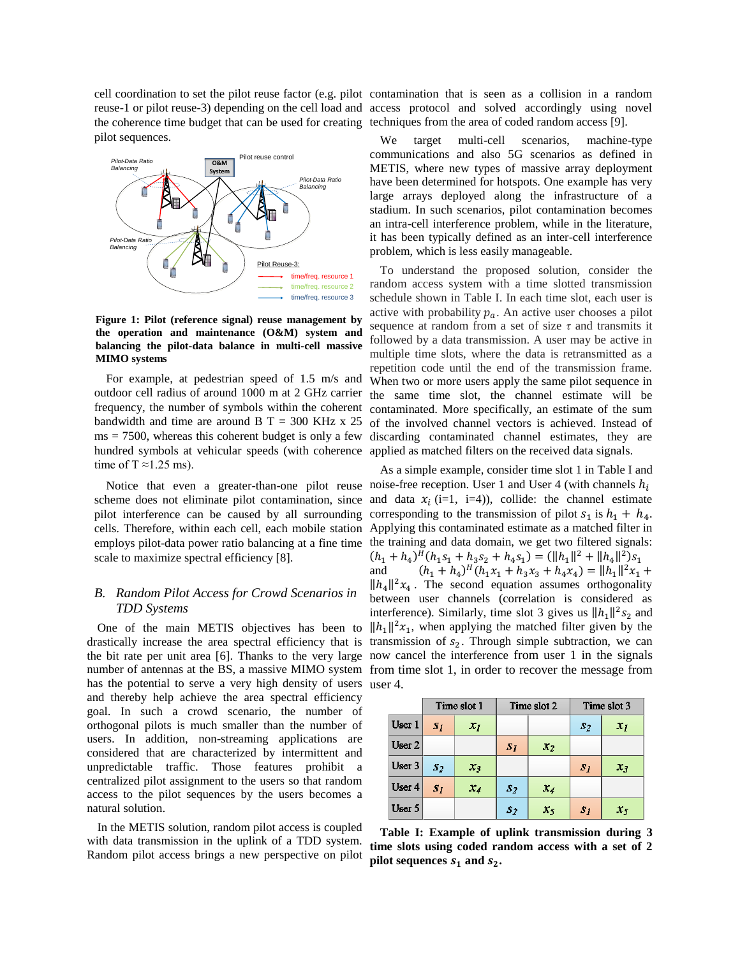the coherence time budget that can be used for creating techniques from the area of coded random access [\[9\]](#page-7-0). pilot sequences.



**Figure 1: Pilot (reference signal) reuse management by the operation and maintenance (O&M) system and balancing the pilot-data balance in multi-cell massive MIMO systems** 

For example, at pedestrian speed of 1.5 m/s and outdoor cell radius of around 1000 m at 2 GHz carrier frequency, the number of symbols within the coherent bandwidth and time are around B  $T = 300$  KHz x 25  $ms = 7500$ , whereas this coherent budget is only a few hundred symbols at vehicular speeds (with coherence applied as matched filters on the received data signals. time of  $T \approx 1.25$  ms).

pilot interference can be caused by all surrounding cells. Therefore, within each cell, each mobile station scale to maximize spectral efficiency [8].

# *B. Random Pilot Access for Crowd Scenarios in TDD Systems*

One of the main METIS objectives has been to has the potential to serve a very high density of users user 4. and thereby help achieve the area spectral efficiency goal. In such a crowd scenario, the number of orthogonal pilots is much smaller than the number of users. In addition, non-streaming applications are considered that are characterized by intermittent and unpredictable traffic. Those features prohibit a centralized pilot assignment to the users so that random access to the pilot sequences by the users becomes a natural solution.

In the METIS solution, random pilot access is coupled with data transmission in the uplink of a TDD system. Random pilot access brings a new perspective on pilot

cell coordination to set the pilot reuse factor (e.g. pilot contamination that is seen as a collision in a random reuse-1 or pilot reuse-3) depending on the cell load and access protocol and solved accordingly using novel

> We target multi-cell scenarios, machine-type communications and also 5G scenarios as defined in METIS, where new types of massive array deployment have been determined for hotspots. One example has very large arrays deployed along the infrastructure of a stadium. In such scenarios, pilot contamination becomes an intra-cell interference problem, while in the literature, it has been typically defined as an inter-cell interference problem, which is less easily manageable.

> To understand the proposed solution, consider the random access system with a time slotted transmission schedule shown in Table I. In each time slot, each user is active with probability  $p_a$ . An active user chooses a pilot sequence at random from a set of size *τ* and transmits it followed by a data transmission. A user may be active in multiple time slots, where the data is retransmitted as a repetition code until the end of the transmission frame. When two or more users apply the same pilot sequence in the same time slot, the channel estimate will be contaminated. More specifically, an estimate of the sum of the involved channel vectors is achieved. Instead of discarding contaminated channel estimates, they are

Notice that even a greater-than-one pilot reuse noise-free reception. User 1 and User 4 (with channels  $h_i$ scheme does not eliminate pilot contamination, since and data  $x_i$  (i=1, i=4)), collide: the channel estimate employs pilot-data power ratio balancing at a fine time the training and data domain, we get two filtered signals: drastically increase the area spectral efficiency that is transmission of  $s_2$ . Through simple subtraction, we can the bit rate per unit area [6]. Thanks to the very large now cancel the interference from user 1 in the signals number of antennas at the BS, a massive MIMO system from time slot 1, in order to recover the message from As a simple example, consider time slot 1 in Table I and corresponding to the transmission of pilot  $s_1$  is  $h_1 + h_4$ . Applying this contaminated estimate as a matched filter in  $(h_1 + h_4)^H (h_1 s_1 + h_3 s_2 + h_4 s_1) = (\|h_1\|^2 + \|h_4\|^2) s_1$ and  $(h_1 + h_4)^H (h_1 x_1 + h_3 x_3 + h_4 x_4) = ||h_1||^2 x_1 +$  $\|h_4\|^2 x_4$ . The second equation assumes orthogonality between user channels (correlation is considered as interference). Similarly, time slot 3 gives us  $||h_1||^2 s_2$  and  $\|h_1\|^2 x_1$ , when applying the matched filter given by the

|                   | Time slot 1    |       | Time slot 2    |         | Time slot 3    |               |
|-------------------|----------------|-------|----------------|---------|----------------|---------------|
| User 1            | S <sub>1</sub> | $x_I$ |                |         | s <sub>2</sub> | $x_I$         |
| User <sub>2</sub> |                |       | $S_I$          | $x_2$   |                |               |
| User 3            | $\mathbf{32}$  | $x_3$ |                |         | $\mathbf{S}$   | $\mathcal{X}$ |
| User 4            | S <sub>T</sub> | $x_4$ | $S_2$          | $x_4$   |                |               |
| User 5            |                |       | s <sub>2</sub> | $x_{5}$ | $S_I$          | $x_5$         |

**Table I: Example of uplink transmission during 3 time slots using coded random access with a set of 2 pilot sequences**  $s_1$  **and**  $s_2$ **.**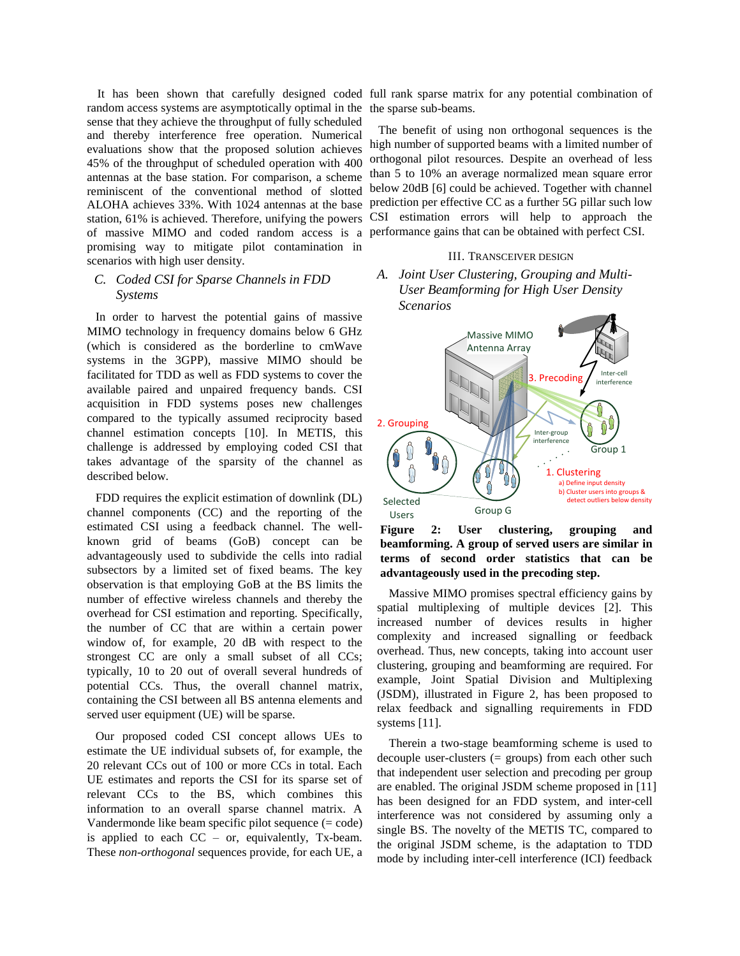random access systems are asymptotically optimal in the the sparse sub-beams. sense that they achieve the throughput of fully scheduled and thereby interference free operation. Numerical evaluations show that the proposed solution achieves 45% of the throughput of scheduled operation with 400 antennas at the base station. For comparison, a scheme reminiscent of the conventional method of slotted promising way to mitigate pilot contamination in scenarios with high user density.

## *C. Coded CSI for Sparse Channels in FDD Systems*

In order to harvest the potential gains of massive MIMO technology in frequency domains below 6 GHz (which is considered as the borderline to cmWave systems in the 3GPP), massive MIMO should be facilitated for TDD as well as FDD systems to cover the available paired and unpaired frequency bands. CSI acquisition in FDD systems poses new challenges compared to the typically assumed reciprocity based channel estimation concepts [10]. In METIS, this challenge is addressed by employing coded CSI that takes advantage of the sparsity of the channel as described below.

FDD requires the explicit estimation of downlink (DL) channel components (CC) and the reporting of the estimated CSI using a feedback channel. The wellknown grid of beams (GoB) concept can be advantageously used to subdivide the cells into radial subsectors by a limited set of fixed beams. The key observation is that employing GoB at the BS limits the number of effective wireless channels and thereby the overhead for CSI estimation and reporting. Specifically, the number of CC that are within a certain power window of, for example, 20 dB with respect to the strongest CC are only a small subset of all CCs; typically, 10 to 20 out of overall several hundreds of potential CCs. Thus, the overall channel matrix, containing the CSI between all BS antenna elements and served user equipment (UE) will be sparse.

Our proposed coded CSI concept allows UEs to estimate the UE individual subsets of, for example, the 20 relevant CCs out of 100 or more CCs in total. Each UE estimates and reports the CSI for its sparse set of relevant CCs to the BS, which combines this information to an overall sparse channel matrix. A Vandermonde like beam specific pilot sequence (= code) is applied to each  $CC - or$ , equivalently, Tx-beam. These *non-orthogonal* sequences provide, for each UE, a

It has been shown that carefully designed coded full rank sparse matrix for any potential combination of

ALOHA achieves 33%. With 1024 antennas at the base prediction per effective CC as a further 5G pillar such low station, 61% is achieved. Therefore, unifying the powers CSI estimation errors will help to approach the of massive MIMO and coded random access is a performance gains that can be obtained with perfect CSI. The benefit of using non orthogonal sequences is the high number of supported beams with a limited number of orthogonal pilot resources. Despite an overhead of less than 5 to 10% an average normalized mean square error below 20dB [6] could be achieved. Together with channel

#### III. TRANSCEIVER DESIGN

*A. Joint User Clustering, Grouping and Multi-User Beamforming for High User Density Scenarios*



**Figure 2: User clustering, grouping and beamforming. A group of served users are similar in terms of second order statistics that can be advantageously used in the precoding step.**

Massive MIMO promises spectral efficiency gains by spatial multiplexing of multiple devices [2]. This increased number of devices results in higher complexity and increased signalling or feedback overhead. Thus, new concepts, taking into account user clustering, grouping and beamforming are required. For example, Joint Spatial Division and Multiplexing (JSDM), illustrated in Figure 2, has been proposed to relax feedback and signalling requirements in FDD systems [11].

Therein a two-stage beamforming scheme is used to decouple user-clusters (= groups) from each other such that independent user selection and precoding per group are enabled. The original JSDM scheme proposed in [\[11\]](#page-7-1) has been designed for an FDD system, and inter-cell interference was not considered by assuming only a single BS. The novelty of the METIS TC, compared to the original JSDM scheme, is the adaptation to TDD mode by including inter-cell interference (ICI) feedback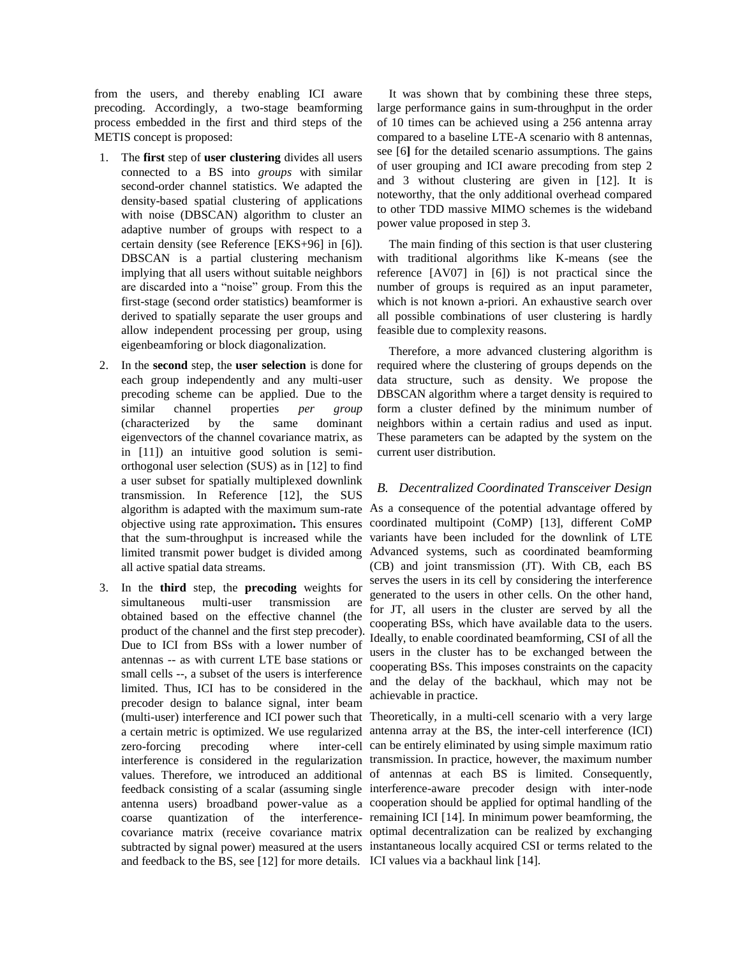from the users, and thereby enabling ICI aware precoding. Accordingly, a two-stage beamforming process embedded in the first and third steps of the METIS concept is proposed:

- 1. The **first** step of **user clustering** divides all users connected to a BS into *groups* with similar second-order channel statistics. We adapted the density-based spatial clustering of applications with noise (DBSCAN) algorithm to cluster an adaptive number of groups with respect to a certain density (see Reference [EKS+96] in [6]). DBSCAN is a partial clustering mechanism implying that all users without suitable neighbors are discarded into a "noise" group. From this the first-stage (second order statistics) beamformer is derived to spatially separate the user groups and allow independent processing per group, using eigenbeamforing or block diagonalization.
- 2. In the **second** step, the **user selection** is done for each group independently and any multi-user precoding scheme can be applied. Due to the similar channel properties *per group* (characterized by the same dominant eigenvectors of the channel covariance matrix, as in [11]) an intuitive good solution is semiorthogonal user selection (SUS) as in [12] to find a user subset for spatially multiplexed downlink transmission. In Reference [12], the SUS algorithm is adapted with the maximum sum-rate objective using rate approximation**.** This ensures that the sum-throughput is increased while the limited transmit power budget is divided among all active spatial data streams.
- 3. In the **third** step, the **precoding** weights for simultaneous multi-user transmission are obtained based on the effective channel (the product of the channel and the first step precoder). Due to ICI from BSs with a lower number of antennas -- as with current LTE base stations or small cells --, a subset of the users is interference limited. Thus, ICI has to be considered in the precoder design to balance signal, inter beam a certain metric is optimized. We use regularized zero-forcing precoding where and feedback to the BS, see [12] for more details. ICI values via a backhaul link [14].

It was shown that by combining these three steps, large performance gains in sum-throughput in the order of 10 times can be achieved using a 256 antenna array compared to a baseline LTE-A scenario with 8 antennas, see [6**]** for the detailed scenario assumptions. The gains of user grouping and ICI aware precoding from step 2 and 3 without clustering are given in [12]. It is noteworthy, that the only additional overhead compared to other TDD massive MIMO schemes is the wideband power value proposed in step 3.

The main finding of this section is that user clustering with traditional algorithms like K-means (see the reference [AV07] in [6]) is not practical since the number of groups is required as an input parameter, which is not known a-priori. An exhaustive search over all possible combinations of user clustering is hardly feasible due to complexity reasons.

Therefore, a more advanced clustering algorithm is required where the clustering of groups depends on the data structure, such as density. We propose the DBSCAN algorithm where a target density is required to form a cluster defined by the minimum number of neighbors within a certain radius and used as input. These parameters can be adapted by the system on the current user distribution.

## *B. Decentralized Coordinated Transceiver Design*

As a consequence of the potential advantage offered by coordinated multipoint (CoMP) [13], different CoMP variants have been included for the downlink of LTE Advanced systems, such as coordinated beamforming (CB) and joint transmission (JT). With CB, each BS serves the users in its cell by considering the interference generated to the users in other cells. On the other hand, for JT, all users in the cluster are served by all the cooperating BSs, which have available data to the users. Ideally, to enable coordinated beamforming, CSI of all the users in the cluster has to be exchanged between the cooperating BSs. This imposes constraints on the capacity and the delay of the backhaul, which may not be achievable in practice.

(multi-user) interference and ICI power such that Theoretically, in a multi-cell scenario with a very large interference is considered in the regularization transmission. In practice, however, the maximum number values. Therefore, we introduced an additional of antennas at each BS is limited. Consequently, feedback consisting of a scalar (assuming single interference-aware precoder design with inter-node antenna users) broadband power-value as a cooperation should be applied for optimal handling of the coarse quantization of the interference-remaining ICI [14]. In minimum power beamforming, the covariance matrix (receive covariance matrix optimal decentralization can be realized by exchanging subtracted by signal power) measured at the users instantaneous locally acquired CSI or terms related to the antenna array at the BS, the inter-cell interference (ICI) inter-cell can be entirely eliminated by using simple maximum ratio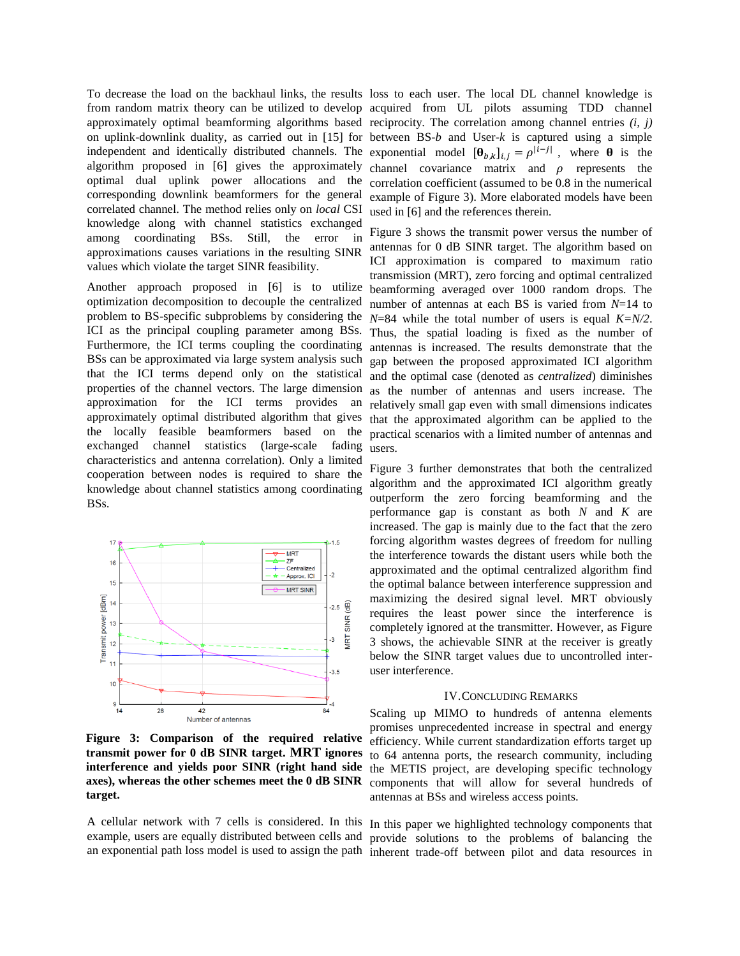correlated channel. The method relies only on *local* CSI knowledge along with channel statistics exchanged among coordinating BSs. Still, the error in approximations causes variations in the resulting SINR values which violate the target SINR feasibility.

Another approach proposed in [6] is to utilize optimization decomposition to decouple the centralized problem to BS-specific subproblems by considering the ICI as the principal coupling parameter among BSs. Furthermore, the ICI terms coupling the coordinating BSs can be approximated via large system analysis such that the ICI terms depend only on the statistical properties of the channel vectors. The large dimension approximation for the ICI terms provides an approximately optimal distributed algorithm that gives the locally feasible beamformers based on the exchanged channel statistics (large-scale fading characteristics and antenna correlation). Only a limited cooperation between nodes is required to share the knowledge about channel statistics among coordinating BSs.



**Figure 3: Comparison of the required relative transmit power for 0 dB SINR target. MRT ignores interference and yields poor SINR (right hand side axes), whereas the other schemes meet the 0 dB SINR target.**

A cellular network with 7 cells is considered. In this In this paper we highlighted technology components that example, users are equally distributed between cells and

To decrease the load on the backhaul links, the results loss to each user. The local DL channel knowledge is from random matrix theory can be utilized to develop acquired from UL pilots assuming TDD channel approximately optimal beamforming algorithms based reciprocity. The correlation among channel entries *(i, j)* on uplink-downlink duality, as carried out in [15] for between BS-*b* and User-*k* is captured using a simple independent and identically distributed channels. The exponential model  $[\theta_{b,k}]_{i,j} = \rho^{|i-j|}$ , where  $\theta$  is the algorithm proposed in [6] gives the approximately channel covariance matrix and  $\rho$  represents the optimal dual uplink power allocations and the correlation coefficient (assumed to be 0.8 in the numerical corresponding downlink beamformers for the general example of Figure 3). More elaborated models have been used in [6] and the references therein.

> Figure 3 shows the transmit power versus the number of antennas for 0 dB SINR target. The algorithm based on ICI approximation is compared to maximum ratio transmission (MRT), zero forcing and optimal centralized beamforming averaged over 1000 random drops. The number of antennas at each BS is varied from *N*=14 to *N*=84 while the total number of users is equal *K=N/2*. Thus, the spatial loading is fixed as the number of antennas is increased. The results demonstrate that the gap between the proposed approximated ICI algorithm and the optimal case (denoted as *centralized*) diminishes as the number of antennas and users increase. The relatively small gap even with small dimensions indicates that the approximated algorithm can be applied to the practical scenarios with a limited number of antennas and users.

Figure 3 further demonstrates that both the centralized algorithm and the approximated ICI algorithm greatly outperform the zero forcing beamforming and the performance gap is constant as both *N* and *K* are increased. The gap is mainly due to the fact that the zero forcing algorithm wastes degrees of freedom for nulling the interference towards the distant users while both the approximated and the optimal centralized algorithm find the optimal balance between interference suppression and maximizing the desired signal level. MRT obviously requires the least power since the interference is completely ignored at the transmitter. However, as Figure 3 shows, the achievable SINR at the receiver is greatly below the SINR target values due to uncontrolled interuser interference.

#### IV.CONCLUDING REMARKS

Scaling up MIMO to hundreds of antenna elements promises unprecedented increase in spectral and energy efficiency. While current standardization efforts target up to 64 antenna ports, the research community, including the METIS project, are developing specific technology components that will allow for several hundreds of antennas at BSs and wireless access points.

an exponential path loss model is used to assign the path inherent trade-off between pilot and data resources in provide solutions to the problems of balancing the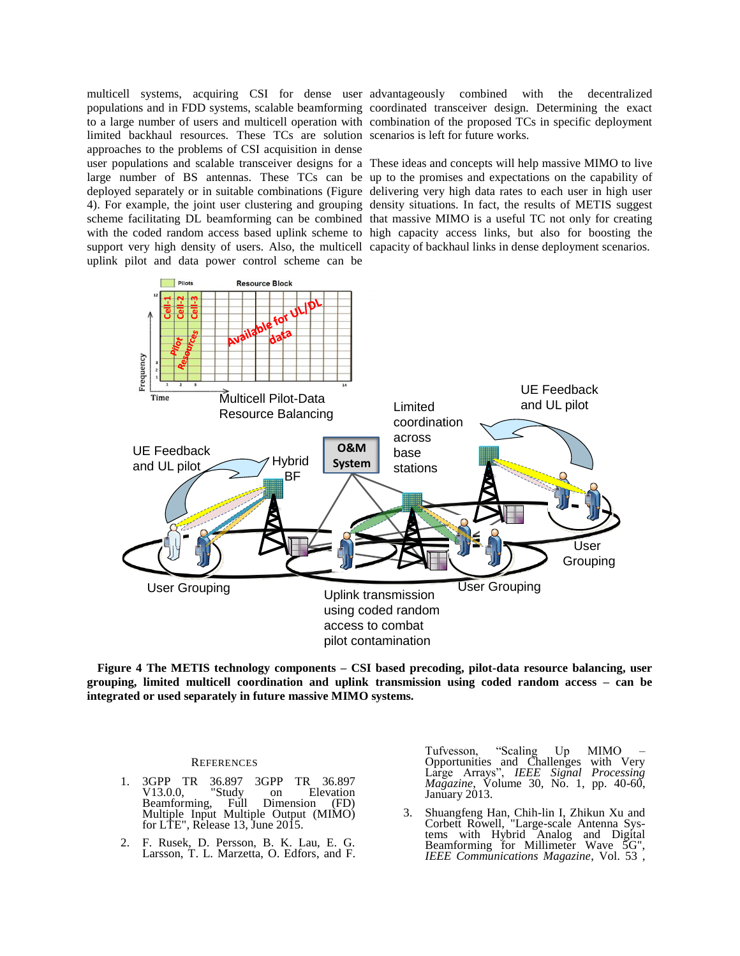limited backhaul resources. These TCs are solution scenarios is left for future works. approaches to the problems of CSI acquisition in dense uplink pilot and data power control scheme can be

multicell systems, acquiring CSI for dense user advantageously combined with the decentralized populations and in FDD systems, scalable beamforming coordinated transceiver design. Determining the exact to a large number of users and multicell operation with combination of the proposed TCs in specific deployment

user populations and scalable transceiver designs for a These ideas and concepts will help massive MIMO to live large number of BS antennas. These TCs can be up to the promises and expectations on the capability of deployed separately or in suitable combinations (Figure delivering very high data rates to each user in high user 4). For example, the joint user clustering and grouping density situations. In fact, the results of METIS suggest scheme facilitating DL beamforming can be combined that massive MIMO is a useful TC not only for creating with the coded random access based uplink scheme to high capacity access links, but also for boosting the support very high density of users. Also, the multicell capacity of backhaul links in dense deployment scenarios.



**Figure 4 The METIS technology components – CSI based precoding, pilot-data resource balancing, user grouping, limited multicell coordination and uplink transmission using coded random access – can be integrated or used separately in future massive MIMO systems.**

#### **REFERENCES**

- 1. 3GPP TR 36.897 3GPP TR 36.897<br>V13.0.0, "Study on Elevation  $\begin{array}{cc}\n\text{udy} & \text{on} & \text{Elevation} \\
\text{Full} & \text{Dimension} & \text{(FD)}\n\end{array}$ Beamforming, Multiple Input Multiple Output (MIMO) for LTE", Release 13, June 2015.
- 2. F. Rusek, D. Persson, B. K. Lau, E. G. Larsson, T. L. Marzetta, O. Edfors, and F.

Tufvesson, "Scaling Up MIMO – Opportunities and Challenges with Very Large Arrays", *IEEE Signal Processing Magazine*, Volume 30, No. 1, pp. 40-60, January 2013.

3. Shuangfeng Han, Chih-lin I, Zhikun Xu and Corbett Rowell, "Large-scale Antenna Systems with Hybrid Analog and Digital Beamforming for Millimeter Wave 5G", *IEEE Communications Magazine*, Vol. 53 ,